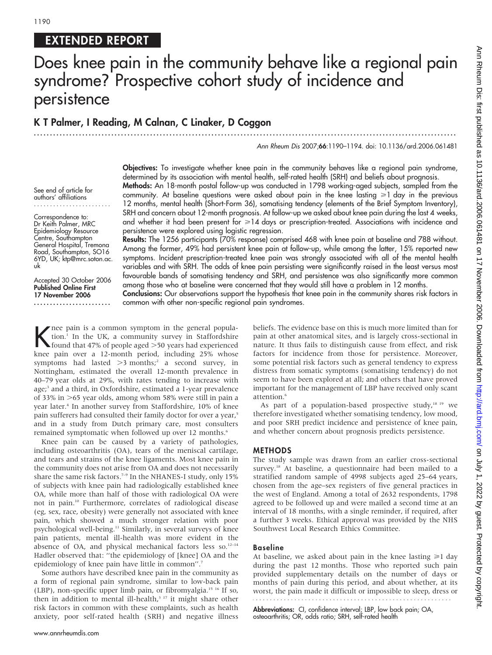# EXTENDED REPORT

# Does knee pain in the community behave like a regional pain syndrome? Prospective cohort study of incidence and persistence

# K T Palmer, I Reading, M Calnan, C Linaker, D Coggon

...................................................................................................................................

#### Ann Rheum Dis 2007;66:1190–1194. doi: 10.1136/ard.2006.061481

Objectives: To investigate whether knee pain in the community behaves like a regional pain syndrome, determined by its association with mental health, self-rated health (SRH) and beliefs about prognosis. Methods: An 18-month postal follow-up was conducted in 1798 working-aged subjects, sampled from the community. At baseline questions were asked about pain in the knee lasting  $\geq 1$  day in the previous 12 months, mental health (Short-Form 36), somatising tendency (elements of the Brief Symptom Inventory), SRH and concern about 12-month prognosis. At follow-up we asked about knee pain during the last 4 weeks,

Correspondence to: Dr Keith Palmer, MRC Epidemiology Resource Centre, Southampton General Hospital, Tremona Road, Southampton, SO16 6YD, UK; ktp@mrc.soton.ac. uk

See end of article for authors' affiliations ........................

Accepted 30 October 2006 Published Online First 17 November 2006 ........................

and whether it had been present for  $\geq 14$  days or prescription-treated. Associations with incidence and persistence were explored using logistic regression. Results: The 1256 participants (70% response) comprised 468 with knee pain at baseline and 788 without. Among the former, 49% had persistent knee pain at follow-up, while among the latter, 15% reported new symptoms. Incident prescription-treated knee pain was strongly associated with all of the mental health variables and with SRH. The odds of knee pain persisting were significantly raised in the least versus most

among those who at baseline were concerned that they would still have a problem in 12 months. Conclusions: Our observations support the hypothesis that knee pain in the community shares risk factors in common with other non-specific regional pain syndromes.

favourable bands of somatising tendency and SRH, and persistence was also significantly more common

K nee pain is a common symptom in the general population.<sup>1</sup> In the UK, a community survey in Staffordshire found that 47% of people aged >50 years had experienced tion.1 In the UK, a community survey in Staffordshire knee pain over a 12-month period, including 25% whose symptoms had lasted  $>3$  months;<sup>2</sup> a second survey, in Nottingham, estimated the overall 12-month prevalence in 40–79 year olds at 29%, with rates tending to increase with age;<sup>3</sup> and a third, in Oxfordshire, estimated a 1-year prevalence of 33% in  $>65$  year olds, among whom 58% were still in pain a year later.<sup>4</sup> In another survey from Staffordshire, 10% of knee pain sufferers had consulted their family doctor for over a year,<sup>5</sup> and in a study from Dutch primary care, most consulters remained symptomatic when followed up over 12 months.<sup>6</sup>

Knee pain can be caused by a variety of pathologies, including osteoarthritis (OA), tears of the meniscal cartilage, and tears and strains of the knee ligaments. Most knee pain in the community does not arise from OA and does not necessarily share the same risk factors.<sup>7-9</sup> In the NHANES-I study, only 15% of subjects with knee pain had radiologically established knee OA, while more than half of those with radiological OA were not in pain.10 Furthermore, correlates of radiological disease (eg, sex, race, obesity) were generally not associated with knee pain, which showed a much stronger relation with poor psychological well-being.11 Similarly, in several surveys of knee pain patients, mental ill-health was more evident in the absence of OA, and physical mechanical factors less so.<sup>12-14</sup> Hadler observed that: ''the epidemiology of [knee] OA and the epidemiology of knee pain have little in common".<sup>7</sup>

Some authors have described knee pain in the community as a form of regional pain syndrome, similar to low-back pain (LBP), non-specific upper limb pain, or fibromyalgia.15 16 If so, then in addition to mental ill-health, $317$  it might share other risk factors in common with these complaints, such as health anxiety, poor self-rated health (SRH) and negative illness beliefs. The evidence base on this is much more limited than for pain at other anatomical sites, and is largely cross-sectional in nature. It thus fails to distinguish cause from effect, and risk factors for incidence from those for persistence. Moreover, some potential risk factors such as general tendency to express distress from somatic symptoms (somatising tendency) do not seem to have been explored at all; and others that have proved important for the management of LBP have received only scant attention.6

As part of a population-based prospective study, $18\frac{19}{19}$  we therefore investigated whether somatising tendency, low mood, and poor SRH predict incidence and persistence of knee pain, and whether concern about prognosis predicts persistence.

#### METHODS

The study sample was drawn from an earlier cross-sectional survey.<sup>18</sup> At baseline, a questionnaire had been mailed to a stratified random sample of 4998 subjects aged 25–64 years, chosen from the age–sex registers of five general practices in the west of England. Among a total of 2632 respondents, 1798 agreed to be followed up and were mailed a second time at an interval of 18 months, with a single reminder, if required, after a further 3 weeks. Ethical approval was provided by the NHS Southwest Local Research Ethics Committee.

## Baseline

At baseline, we asked about pain in the knee lasting  $\geq 1$  day during the past 12 months. Those who reported such pain provided supplementary details on the number of days or months of pain during this period, and about whether, at its worst, the pain made it difficult or impossible to sleep, dress or 

Abbreviations: CI, confidence interval; LBP, low back pain; OA, osteoarthritis; OR, odds ratio; SRH, self-rated health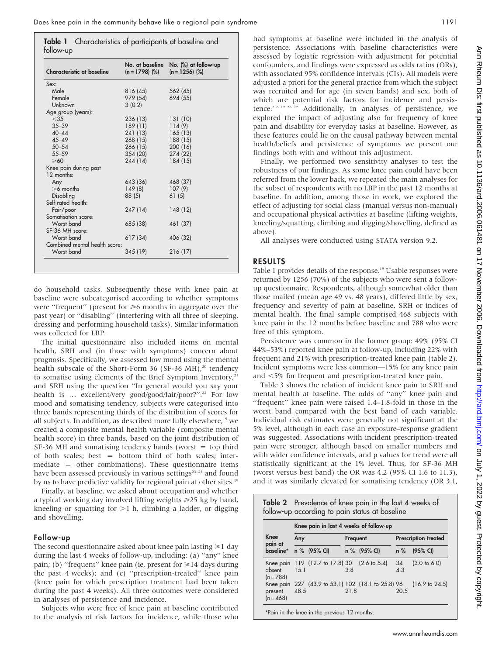| follow-up | Table 1 Characteristics of participants at baseline and |  |  |
|-----------|---------------------------------------------------------|--|--|
|           |                                                         |  |  |

| Characteristic at baseline    | No. at baseline<br>$(n = 1798)$ (%) | No. (%) at follow-up<br>$(n = 1256)$ (%) |
|-------------------------------|-------------------------------------|------------------------------------------|
| Sex:                          |                                     |                                          |
| Male                          | 816 (45)                            | 562 (45)                                 |
| Female                        | 979 (54)                            | 694 (55)                                 |
| Unknown                       | 3(0.2)                              |                                          |
| Age group (years):            |                                     |                                          |
| $<$ 35                        | 236 (13)                            | 131 (10)                                 |
| $35 - 39$                     | 189 (11)                            | 114(9)                                   |
| $40 - 44$                     | 241 (13)                            | 165(13)                                  |
| $45 - 49$                     | 268 (15)                            | 188 (15)                                 |
| $50 - 54$                     | 266 (15)                            | 200 (16)                                 |
| $55 - 59$                     | 354 (20)                            | 274 (22)                                 |
| $\geqslant$ 60                | 244 (14)                            | 184 (15)                                 |
| Knee pain during past         |                                     |                                          |
| $12$ months:                  |                                     |                                          |
| Any                           | 643 (36)                            | 468 (37)                                 |
| $>6$ months                   | 149(8)                              | 107(9)                                   |
| Disabling                     | 88 (5)                              | 61(5)                                    |
| Self-rated health:            |                                     |                                          |
| Fair/poor                     | 247 (14)                            | 148(12)                                  |
| Somatisation score:           |                                     |                                          |
| Worst band                    | 685 (38)                            | 461 (37)                                 |
| SF-36 MH score:               |                                     |                                          |
| Worst band                    | 617 (34)                            | 406 (32)                                 |
| Combined mental health score: |                                     |                                          |
| Worst band                    | 345 (19)                            | 216 (17)                                 |

do household tasks. Subsequently those with knee pain at baseline were subcategorised according to whether symptoms were "frequent" (present for  $\geq 6$  months in aggregate over the past year) or ''disabling'' (interfering with all three of sleeping, dressing and performing household tasks). Similar information was collected for LBP.

The initial questionnaire also included items on mental health, SRH and (in those with symptoms) concern about prognosis. Specifically, we assessed low mood using the mental health subscale of the Short-Form 36 (SF-36 MH),<sup>20</sup> tendency to somatise using elements of the Brief Symptom Inventory, $21$ and SRH using the question ''In general would you say your health is ... excellent/very good/good/fair/poor?".<sup>22</sup> For low mood and somatising tendency, subjects were categorised into three bands representing thirds of the distribution of scores for all subjects. In addition, as described more fully elsewhere,<sup>19</sup> we created a composite mental health variable (composite mental health score) in three bands, based on the joint distribution of  $SF-36$  MH and somatising tendency bands (worst  $=$  top third of both scales; best = bottom third of both scales; intermediate = other combinations). These questionnaire items have been assessed previously in various settings<sup>23-25</sup> and found by us to have predictive validity for regional pain at other sites.<sup>19</sup>

Finally, at baseline, we asked about occupation and whether a typical working day involved lifting weights  $\geq 25$  kg by hand, kneeling or squatting for  $>1$  h, climbing a ladder, or digging and shovelling.

#### Follow-up

The second questionnaire asked about knee pain lasting  $\geq 1$  day during the last 4 weeks of follow-up, including: (a) ''any'' knee pain; (b) "frequent" knee pain (ie, present for  $\geq 14$  days during the past 4 weeks); and (c) ''prescription-treated'' knee pain (knee pain for which prescription treatment had been taken during the past 4 weeks). All three outcomes were considered in analyses of persistence and incidence.

Subjects who were free of knee pain at baseline contributed to the analysis of risk factors for incidence, while those who

had symptoms at baseline were included in the analysis of persistence. Associations with baseline characteristics were assessed by logistic regression with adjustment for potential confounders, and findings were expressed as odds ratios (ORs), with associated 95% confidence intervals (CIs). All models were adjusted a priori for the general practice from which the subject was recruited and for age (in seven bands) and sex, both of which are potential risk factors for incidence and persistence.<sup>2 6 17 26 27</sup> Additionally, in analyses of persistence, we explored the impact of adjusting also for frequency of knee pain and disability for everyday tasks at baseline. However, as these features could lie on the causal pathway between mental health/beliefs and persistence of symptoms we present our findings both with and without this adjustment.

Finally, we performed two sensitivity analyses to test the robustness of our findings. As some knee pain could have been referred from the lower back, we repeated the main analyses for the subset of respondents with no LBP in the past 12 months at baseline. In addition, among those in work, we explored the effect of adjusting for social class (manual versus non-manual) and occupational physical activities at baseline (lifting weights, kneeling/squatting, climbing and digging/shovelling, defined as above).

All analyses were conducted using STATA version 9.2.

## RESULTS

Table 1 provides details of the response.<sup>19</sup> Usable responses were returned by 1256 (70%) of the subjects who were sent a followup questionnaire. Respondents, although somewhat older than those mailed (mean age 49 vs. 48 years), differed little by sex, frequency and severity of pain at baseline, SRH or indices of mental health. The final sample comprised 468 subjects with knee pain in the 12 months before baseline and 788 who were free of this symptom.

Persistence was common in the former group: 49% (95% CI 44%–53%) reported knee pain at follow-up, including 22% with frequent and 21% with prescription-treated knee pain (table 2). Incident symptoms were less common—15% for any knee pain and <5% for frequent and prescription-treated knee pain.

Table 3 shows the relation of incident knee pain to SRH and mental health at baseline. The odds of ''any'' knee pain and ''frequent'' knee pain were raised 1.4–1.8-fold in those in the worst band compared with the best band of each variable. Individual risk estimates were generally not significant at the 5% level, although in each case an exposure–response gradient was suggested. Associations with incident prescription-treated pain were stronger, although based on smaller numbers and with wider confidence intervals, and p values for trend were all statistically significant at the 1% level. Thus, for SF-36 MH (worst versus best band) the OR was 4.2 (95% CI 1.6 to 11.3), and it was similarly elevated for somatising tendency (OR 3.1,

Table 2 Prevalence of knee pain in the last 4 weeks of follow-up according to pain status at baseline

|                        | Knee pain in last 4 weeks of follow-up |                                 |          |      |                                                    |           |                           |
|------------------------|----------------------------------------|---------------------------------|----------|------|----------------------------------------------------|-----------|---------------------------|
| Knee<br>pain at        | Any                                    |                                 | Frequent |      | <b>Prescription treated</b>                        |           |                           |
| baseline*              |                                        | n % (95% CI)                    |          |      | n % (95% CI)                                       | $n\%$     | $(95%$ CI)                |
| absent<br>$(n = 788)$  | 1.51                                   | Knee pain 119 (12.7 to 17.8) 30 |          | 3.8  | $(2.6 \text{ to } 5.4)$                            | 34<br>4.3 | $(3.0 \text{ to } 6.0)$   |
| present<br>$(n = 468)$ | 48.5                                   |                                 |          | 21.8 | Knee pain 227 (43.9 to 53.1) 102 (18.1 to 25.8) 96 | 20.5      | $(16.9 \text{ to } 24.5)$ |
|                        |                                        |                                 |          |      |                                                    |           |                           |

\*Pain in the knee in the previous 12 months.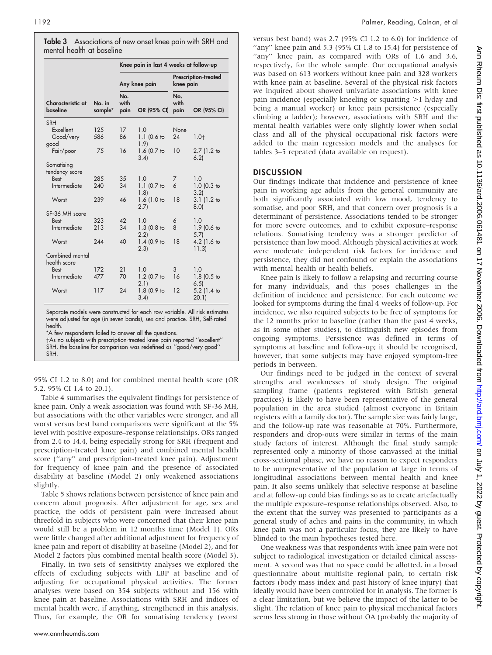Table 3 Associations of new onset knee pain with SRH and mental health at baseline

|                                                           |                   | Knee pain in last 4 weeks at follow-up |                                             |                     |                              |  |
|-----------------------------------------------------------|-------------------|----------------------------------------|---------------------------------------------|---------------------|------------------------------|--|
|                                                           |                   | Any knee pain                          |                                             | knee pain           | <b>Prescription-treated</b>  |  |
| Characteristic at<br>baseline                             | No. in<br>sample* | No.<br>with<br>pain                    | OR (95% CI)                                 | No.<br>with<br>pain | OR (95% CI)                  |  |
| <b>SRH</b><br>Excellent<br>Good/very<br>good<br>Fair/poor | 125<br>586<br>75  | 17<br>86<br>16                         | 1.0<br>$1.1$ (0.6 to<br>1.91<br>1.6 (0.7 to | None<br>24<br>10    | $1.0+$<br>2.7(1.2)           |  |
| Somatising<br>tendency score                              |                   |                                        | 3.4                                         |                     | 6.2                          |  |
| <b>Best</b><br>Intermediate                               | 285<br>240        | 35<br>34                               | 1.0<br>$1.1$ (0.7 to<br>1.81                | 7<br>6              | 1.0<br>$1.0$ (0.3 to<br>3.21 |  |
| Worst                                                     | 239               | 46                                     | 1.6(1.0 to<br>2.7                           | 18                  | 3.1(1.2)<br>8.0              |  |
| SF-36 MH score                                            |                   |                                        |                                             |                     |                              |  |
| Best<br>Intermediate                                      | 323<br>213        | 42<br>34                               | 1.0<br>$1.3$ (0.8 to<br>2.2                 | 6<br>8              | 1.0<br>1.9 (0.6 to<br>5.7    |  |
| Worst                                                     | 244               | 40                                     | 1.4(0.9)<br>2.3                             | 18                  | 4.2 (1.6 to<br>11.3          |  |
| Combined mental<br>health score                           |                   |                                        |                                             |                     |                              |  |
| <b>Best</b><br>Intermediate                               | 172<br>477        | 21<br>70                               | 1.0<br>1.2 (0.7 to<br>2.1                   | 3<br>16             | 1.0<br>$1.8$ (0.5 to<br>6.5  |  |
| Worst                                                     | 117               | 24                                     | 1.8 (0.9 to<br>3.4                          | 12                  | 5.2 (1.4 to<br>20.1)         |  |

Separate models were constructed for each row variable. All risk estimates were adjusted for age (in seven bands), sex and practice. SRH, Self-rated health.

\*A few respondents failed to answer all the questions.

-As no subjects with prescription-treated knee pain reported ''excellent'' SRH, the baseline for comparison was redefined as ''good/very good'' SRH.

95% CI 1.2 to 8.0) and for combined mental health score (OR 5.2, 95% CI 1.4 to 20.1).

Table 4 summarises the equivalent findings for persistence of knee pain. Only a weak association was found with SF-36 MH, but associations with the other variables were stronger, and all worst versus best band comparisons were significant at the 5% level with positive exposure–response relationships. ORs ranged from 2.4 to 14.4, being especially strong for SRH (frequent and prescription-treated knee pain) and combined mental health score (''any'' and prescription-treated knee pain). Adjustment for frequency of knee pain and the presence of associated disability at baseline (Model 2) only weakened associations slightly.

Table 5 shows relations between persistence of knee pain and concern about prognosis. After adjustment for age, sex and practice, the odds of persistent pain were increased about threefold in subjects who were concerned that their knee pain would still be a problem in 12 months time (Model 1). ORs were little changed after additional adjustment for frequency of knee pain and report of disability at baseline (Model 2), and for Model 2 factors plus combined mental health score (Model 3).

Finally, in two sets of sensitivity analyses we explored the effects of excluding subjects with LBP at baseline and of adjusting for occupational physical activities. The former analyses were based on 354 subjects without and 156 with knee pain at baseline. Associations with SRH and indices of mental health were, if anything, strengthened in this analysis. Thus, for example, the OR for somatising tendency (worst

versus best band) was 2.7 (95% CI 1.2 to 6.0) for incidence of "any" knee pain and 5.3 (95% CI 1.8 to 15.4) for persistence of "any" knee pain, as compared with ORs of 1.6 and 3.6, respectively, for the whole sample. Our occupational analysis was based on 613 workers without knee pain and 328 workers with knee pain at baseline. Several of the physical risk factors we inquired about showed univariate associations with knee pain incidence (especially kneeling or squatting  $>1$  h/day and being a manual worker) or knee pain persistence (especially climbing a ladder); however, associations with SRH and the mental health variables were only slightly lower when social class and all of the physical occupational risk factors were added to the main regression models and the analyses for tables 3–5 repeated (data available on request).

## **DISCUSSION**

Our findings indicate that incidence and persistence of knee pain in working age adults from the general community are both significantly associated with low mood, tendency to somatise, and poor SRH, and that concern over prognosis is a determinant of persistence. Associations tended to be stronger for more severe outcomes, and to exhibit exposure–response relations. Somatising tendency was a stronger predictor of persistence than low mood. Although physical activities at work were moderate independent risk factors for incidence and persistence, they did not confound or explain the associations with mental health or health beliefs.

Knee pain is likely to follow a relapsing and recurring course for many individuals, and this poses challenges in the definition of incidence and persistence. For each outcome we looked for symptoms during the final 4 weeks of follow-up. For incidence, we also required subjects to be free of symptoms for the 12 months prior to baseline (rather than the past 4 weeks, as in some other studies), to distinguish new episodes from ongoing symptoms. Persistence was defined in terms of symptoms at baseline and follow-up; it should be recognised, however, that some subjects may have enjoyed symptom-free periods in between.

Our findings need to be judged in the context of several strengths and weaknesses of study design. The original sampling frame (patients registered with British general practices) is likely to have been representative of the general population in the area studied (almost everyone in Britain registers with a family doctor). The sample size was fairly large, and the follow-up rate was reasonable at 70%. Furthermore, responders and drop-outs were similar in terms of the main study factors of interest. Although the final study sample represented only a minority of those canvassed at the initial cross-sectional phase, we have no reason to expect responders to be unrepresentative of the population at large in terms of longitudinal associations between mental health and knee pain. It also seems unlikely that selective response at baseline and at follow-up could bias findings so as to create artefactually the multiple exposure–response relationships observed. Also, to the extent that the survey was presented to participants as a general study of aches and pains in the community, in which knee pain was not a particular focus, they are likely to have blinded to the main hypotheses tested here.

One weakness was that respondents with knee pain were not subject to radiological investigation or detailed clinical assessment. A second was that no space could be allotted, in a broad questionnaire about multisite regional pain, to certain risk factors (body mass index and past history of knee injury) that ideally would have been controlled for in analysis. The former is a clear limitation, but we believe the impact of the latter to be slight. The relation of knee pain to physical mechanical factors seems less strong in those without OA (probably the majority of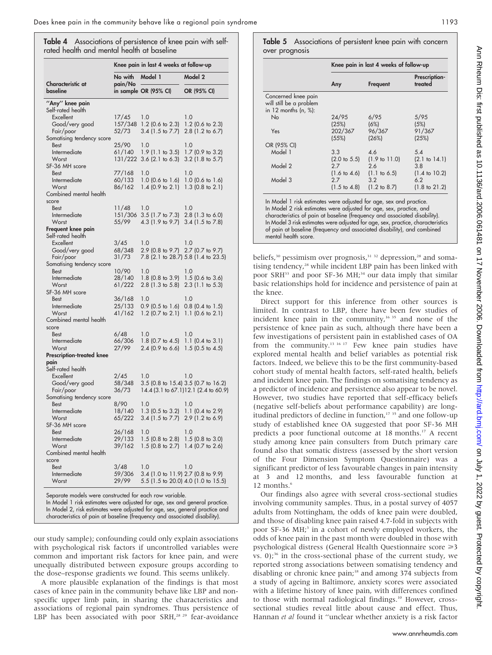Table 4 Associations of persistence of knee pain with selfrated health and mental health at baseline

|                                                                                                                                       | Knee pain in last 4 weeks at follow-up |                                          |                                                   |  |  |
|---------------------------------------------------------------------------------------------------------------------------------------|----------------------------------------|------------------------------------------|---------------------------------------------------|--|--|
|                                                                                                                                       | No with                                | Model 1                                  | Model 2                                           |  |  |
| Characteristic at<br>baseline                                                                                                         | pain/No                                | in sample OR (95% CI)                    | OR (95% CI)                                       |  |  |
| "Any" knee pain<br>Self-rated health                                                                                                  |                                        |                                          |                                                   |  |  |
| Excellent                                                                                                                             | 17/45                                  | 1.0                                      | 1.0                                               |  |  |
| Good/very good                                                                                                                        | 157/348                                | 1.2 (0.6 to 2.3)                         | 1.2 (0.6 to 2.3)                                  |  |  |
| Fair/poor                                                                                                                             | 52/73                                  | 3.4 (1.5 to 7.7)                         | 2.8 (1.2 to 6.7)                                  |  |  |
| Somatising tendency score                                                                                                             |                                        |                                          |                                                   |  |  |
| <b>Best</b><br>Intermediate                                                                                                           | 25/90<br>61/140                        | 1.0<br>$1.9$ (1.1 to 3.5)                | 1.0<br>1.7 (0.9 to 3.2)                           |  |  |
| Worst                                                                                                                                 | 131/222                                | $3.6$ (2.1 to 6.3)                       | $3.2$ (1.8 to 5.7)                                |  |  |
| SF-36 MH score                                                                                                                        |                                        |                                          |                                                   |  |  |
| <b>Best</b>                                                                                                                           | 77/168                                 | 1.0                                      | 1.0                                               |  |  |
| Intermediate<br>Worst                                                                                                                 | 60/133<br>86/162                       | $1.0$ (0.6 to 1.6)<br>$1.4$ (0.9 to 2.1) | $1.0$ (0.6 to 1.6)<br>$1.3$ (0.8 to 2.1)          |  |  |
| Combined mental health                                                                                                                |                                        |                                          |                                                   |  |  |
| score                                                                                                                                 |                                        |                                          |                                                   |  |  |
| <b>Best</b>                                                                                                                           | 11/48                                  | 1.0                                      | 1.0                                               |  |  |
| Intermediate                                                                                                                          | 151/306                                | $3.5$ (1.7 to 7.3)                       | 2.8 (1.3 to 6.0)                                  |  |  |
| Worst                                                                                                                                 | 55/99                                  | 4.3 (1.9 to 9.7)                         | 3.4 (1.5 to 7.8)                                  |  |  |
| Frequent knee pain<br>Self-rated health                                                                                               |                                        |                                          |                                                   |  |  |
| Excellent                                                                                                                             | 3/45                                   | 1.0                                      | 1.0                                               |  |  |
| Good/very good                                                                                                                        | 68/348                                 | 2.9 (0.8 to 9.7) 2.7 (0.7 to 9.7)        |                                                   |  |  |
| Fair/poor                                                                                                                             | 31/73                                  |                                          | 7.8 (2.1 to 28.7) 5.8 (1.4 to 23.5)               |  |  |
| Somatising tendency score                                                                                                             |                                        |                                          |                                                   |  |  |
| <b>Best</b><br>Intermediate                                                                                                           | 10/90<br>28/140                        | 1.0<br>$1.8$ (0.8 to 3.9)                | 1.0<br>1.5 (0.6 to 3.6)                           |  |  |
| Worst                                                                                                                                 | 61/222                                 | $2.8$ (1.3 to 5.8)                       | $2.3$ (1.1 to 5.3)                                |  |  |
| SF-36 MH score                                                                                                                        |                                        |                                          |                                                   |  |  |
| <b>Best</b>                                                                                                                           | 36/168                                 | 1.0                                      | 1.0                                               |  |  |
| Intermediate                                                                                                                          | 25/133                                 | $0.9$ (0.5 to 1.6)                       | $0.8$ (0.4 to 1.5)                                |  |  |
| Worst<br>Combined mental health                                                                                                       | 41/162                                 | $1.2$ (0.7 to 2.1)                       | 1.1 $(0.6 \text{ to } 2.1)$                       |  |  |
| score                                                                                                                                 |                                        |                                          |                                                   |  |  |
| <b>Best</b>                                                                                                                           | 6/48                                   | 1.0                                      | 1.0                                               |  |  |
| Intermediate                                                                                                                          | 66/306                                 | 1.8 (0.7 to 4.5)                         | 1.1 $(0.4 \text{ to } 3.1)$                       |  |  |
| Worst                                                                                                                                 | 27/99                                  | $2.4$ (0.9 to 6.6)                       | $1.5$ (0.5 to 4.5)                                |  |  |
| Prescription-treated knee<br>pain                                                                                                     |                                        |                                          |                                                   |  |  |
| Self-rated health                                                                                                                     |                                        |                                          |                                                   |  |  |
| Excellent                                                                                                                             | 2/45                                   | 1.0                                      | 1.0                                               |  |  |
| Good/very good                                                                                                                        | 58/348                                 |                                          | 3.5 (0.8 to 15.4) 3.5 (0.7 to 16.2)               |  |  |
| Fair/poor                                                                                                                             | 36/73                                  |                                          | 14.4 (3.1 to 67.1) 12.1 (2.4 to 60.9)             |  |  |
| Somatising tendency score<br><b>Best</b>                                                                                              | 8/90                                   | 1.0                                      | 1.0                                               |  |  |
| Intermediate                                                                                                                          | 18/140                                 | $1.3$ (0.5 to 3.2)                       | 1.1 $(0.4 \text{ to } 2.9)$                       |  |  |
| Worst                                                                                                                                 | 65/222                                 | 3.4 (1.5 to 7.7)                         | 2.9 (1.2 to 6.9)                                  |  |  |
| SF-36 MH score                                                                                                                        |                                        |                                          |                                                   |  |  |
| <b>Best</b>                                                                                                                           | 26/168                                 | 1.0                                      | 1.0                                               |  |  |
| Intermediate<br>Worst                                                                                                                 | 29/133<br>39/162                       | $1.5$ (0.8 to 2.8)<br>$1.5$ (0.8 to 2.7) | $1.5$ (0.8 to 3.0)<br>1.4 $(0.7 \text{ to } 2.6)$ |  |  |
| Combined mental health                                                                                                                |                                        |                                          |                                                   |  |  |
| score                                                                                                                                 |                                        |                                          |                                                   |  |  |
| Best                                                                                                                                  | 3/48                                   | 1.0                                      | 1.0                                               |  |  |
| Intermediate                                                                                                                          | 59/306                                 | 3.4 (1.0 to 11.9) 2.7 (0.8 to 9.9)       |                                                   |  |  |
| Worst                                                                                                                                 | 29/99                                  |                                          | 5.5 (1.5 to 20.0) 4.0 (1.0 to 15.5)               |  |  |
| Separate models were constructed for each row variable.<br>In Model 1 risk estimates were adjusted for age, sex and general practice. |                                        |                                          |                                                   |  |  |

In Model 2, risk estimates were adjusted for age, sex, general practice and characteristics of pain at baseline (frequency and associated disability).

our study sample); confounding could only explain associations with psychological risk factors if uncontrolled variables were common and important risk factors for knee pain, and were unequally distributed between exposure groups according to the dose–response gradients we found. This seems unlikely.

A more plausible explanation of the findings is that most cases of knee pain in the community behave like LBP and nonspecific upper limb pain, in sharing the characteristics and associations of regional pain syndromes. Thus persistence of LBP has been associated with poor SRH,<sup>28 29</sup> fear-avoidance Table 5 Associations of persistent knee pain with concern over prognosis

|                                                                           | Knee pain in last 4 weeks of follow-up |                          |                          |  |  |  |
|---------------------------------------------------------------------------|----------------------------------------|--------------------------|--------------------------|--|--|--|
|                                                                           | Any                                    | Frequent                 | Prescription-<br>treated |  |  |  |
| Concerned knee pain<br>will still be a problem<br>in 12 months $(n, %)$ : |                                        |                          |                          |  |  |  |
| <b>No</b>                                                                 | 24/95                                  | 6/95                     | 5/95                     |  |  |  |
|                                                                           | (25%)                                  | (6%)                     | (5%)                     |  |  |  |
| Yes                                                                       | 202/367                                | 96/367                   | 91/367                   |  |  |  |
|                                                                           | (55%)                                  | (26%)                    | (25%)                    |  |  |  |
| OR (95% CI)                                                               |                                        |                          |                          |  |  |  |
| Model 1                                                                   | 3.3                                    | 4.6                      | 5.4                      |  |  |  |
|                                                                           | $(2.0 \text{ to } 5.5)$                | $(1.9 \text{ to } 11.0)$ | $(2.1 \text{ to } 14.1)$ |  |  |  |
| Model 2                                                                   | 2.7                                    | 2.6                      | 3.8                      |  |  |  |
|                                                                           | $(1.6 \text{ to } 4.6)$                | $(1.1 \text{ to } 6.5)$  | $(1.4 \text{ to } 10.2)$ |  |  |  |
| Model 3                                                                   | 2.7                                    | 3.2                      | 6.2                      |  |  |  |
|                                                                           | $(1.5 \text{ to } 4.8)$                | $(1.2 \text{ to } 8.7)$  | $(1.8 \text{ to } 21.2)$ |  |  |  |

In Model 1 risk estimates were adjusted for age, sex and practice. In Model 2 risk estimates were adjusted for age, sex, practice, and characteristics of pain at baseline (frequency and associated disability). In Model 3 risk estimates were adjusted for age, sex, practice, characteristics of pain at baseline (frequency and associated disability), and combined mental health score.

beliefs,<sup>30</sup> pessimism over prognosis,<sup>31 32</sup> depression,<sup>28</sup> and somatising tendency,<sup>28</sup> while incident LBP pain has been linked with poor SRH<sup>33</sup> and poor SF-36 MH;<sup>34</sup> our data imply that similar basic relationships hold for incidence and persistence of pain at the knee.

Direct support for this inference from other sources is limited. In contrast to LBP, there have been few studies of incident knee pain in the community,<sup>16 35</sup> and none of the persistence of knee pain as such, although there have been a few investigations of persistent pain in established cases of OA from the community.13 16 17 Few knee pain studies have explored mental health and belief variables as potential risk factors. Indeed, we believe this to be the first community-based cohort study of mental health factors, self-rated health, beliefs and incident knee pain. The findings on somatising tendency as a predictor of incidence and persistence also appear to be novel. However, two studies have reported that self-efficacy beliefs (negative self-beliefs about performance capability) are longitudinal predictors of decline in function,<sup>17 35</sup> and one follow-up study of established knee OA suggested that poor SF-36 MH predicts a poor functional outcome at 18 months.17 A recent study among knee pain consulters from Dutch primary care found also that somatic distress (assessed by the short version of the Four Dimension Symptom Questionnaire) was a significant predictor of less favourable changes in pain intensity at 3 and 12 months, and less favourable function at 12 months.<sup>6</sup>

Our findings also agree with several cross-sectional studies involving community samples. Thus, in a postal survey of 4057 adults from Nottingham, the odds of knee pain were doubled, and those of disabling knee pain raised 4.7-fold in subjects with poor SF-36 MH;<sup>3</sup> in a cohort of newly employed workers, the odds of knee pain in the past month were doubled in those with psychological distress (General Health Questionnaire score  $\geq 3$ vs.  $0$ );<sup>36</sup> in the cross-sectional phase of the current study, we reported strong associations between somatising tendency and disabling or chronic knee pain;<sup>18</sup> and among 374 subjects from a study of ageing in Baltimore, anxiety scores were associated with a lifetime history of knee pain, with differences confined to those with normal radiological findings.<sup>10</sup> However, crosssectional studies reveal little about cause and effect. Thus, Hannan et al found it ''unclear whether anxiety is a risk factor